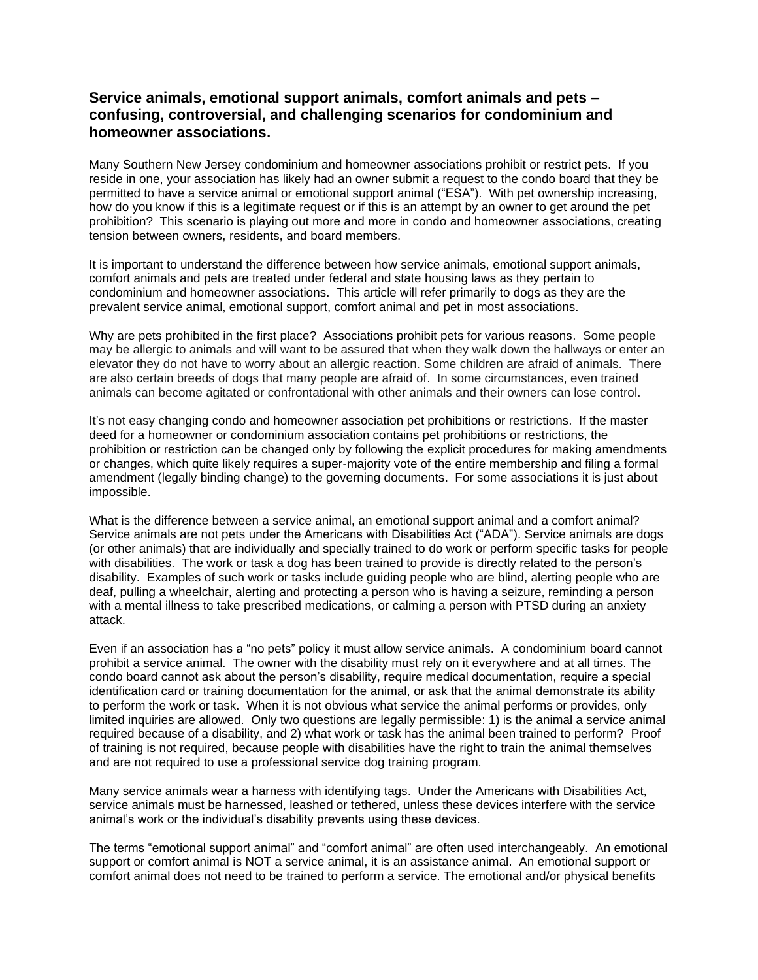## **Service animals, emotional support animals, comfort animals and pets – confusing, controversial, and challenging scenarios for condominium and homeowner associations.**

Many Southern New Jersey condominium and homeowner associations prohibit or restrict pets. If you reside in one, your association has likely had an owner submit a request to the condo board that they be permitted to have a service animal or emotional support animal ("ESA"). With pet ownership increasing, how do you know if this is a legitimate request or if this is an attempt by an owner to get around the pet prohibition? This scenario is playing out more and more in condo and homeowner associations, creating tension between owners, residents, and board members.

It is important to understand the difference between how service animals, emotional support animals, comfort animals and pets are treated under federal and state housing laws as they pertain to condominium and homeowner associations. This article will refer primarily to dogs as they are the prevalent service animal, emotional support, comfort animal and pet in most associations.

Why are pets prohibited in the first place? Associations prohibit pets for various reasons. Some people may be allergic to animals and will want to be assured that when they walk down the hallways or enter an elevator they do not have to worry about an allergic reaction. Some children are afraid of animals. There are also certain breeds of dogs that many people are afraid of. In some circumstances, even trained animals can become agitated or confrontational with other animals and their owners can lose control.

It's not easy changing condo and homeowner association pet prohibitions or restrictions. If the master deed for a homeowner or condominium association contains pet prohibitions or restrictions, the prohibition or restriction can be changed only by following the explicit procedures for making amendments or changes, which quite likely requires a super-majority vote of the entire membership and filing a formal amendment (legally binding change) to the governing documents. For some associations it is just about impossible.

What is the difference between a service animal, an emotional support animal and a comfort animal? Service animals are not pets under the Americans with Disabilities Act ("ADA"). Service animals are dogs (or other animals) that are individually and specially trained to do work or perform specific tasks for people with disabilities. The work or task a dog has been trained to provide is directly related to the person's disability. Examples of such work or tasks include guiding people who are blind, alerting people who are deaf, pulling a wheelchair, alerting and protecting a person who is having a seizure, reminding a person with a mental illness to take prescribed medications, or calming a person with PTSD during an anxiety attack.

Even if an association has a "no pets" policy it must allow service animals. A condominium board cannot prohibit a service animal. The owner with the disability must rely on it everywhere and at all times. The condo board cannot ask about the person's disability, require medical documentation, require a special identification card or training documentation for the animal, or ask that the animal demonstrate its ability to perform the work or task. When it is not obvious what service the animal performs or provides, only limited inquiries are allowed. Only two questions are legally permissible: 1) is the animal a service animal required because of a disability, and 2) what work or task has the animal been trained to perform? Proof of training is not required, because people with disabilities have the right to train the animal themselves and are not required to use a professional service dog training program.

Many service animals wear a harness with identifying tags. Under the Americans with Disabilities Act, service animals must be harnessed, leashed or tethered, unless these devices interfere with the service animal's work or the individual's disability prevents using these devices.

The terms "emotional support animal" and "comfort animal" are often used interchangeably. An emotional support or comfort animal is NOT a service animal, it is an assistance animal. An emotional support or comfort animal does not need to be trained to perform a service. The emotional and/or physical benefits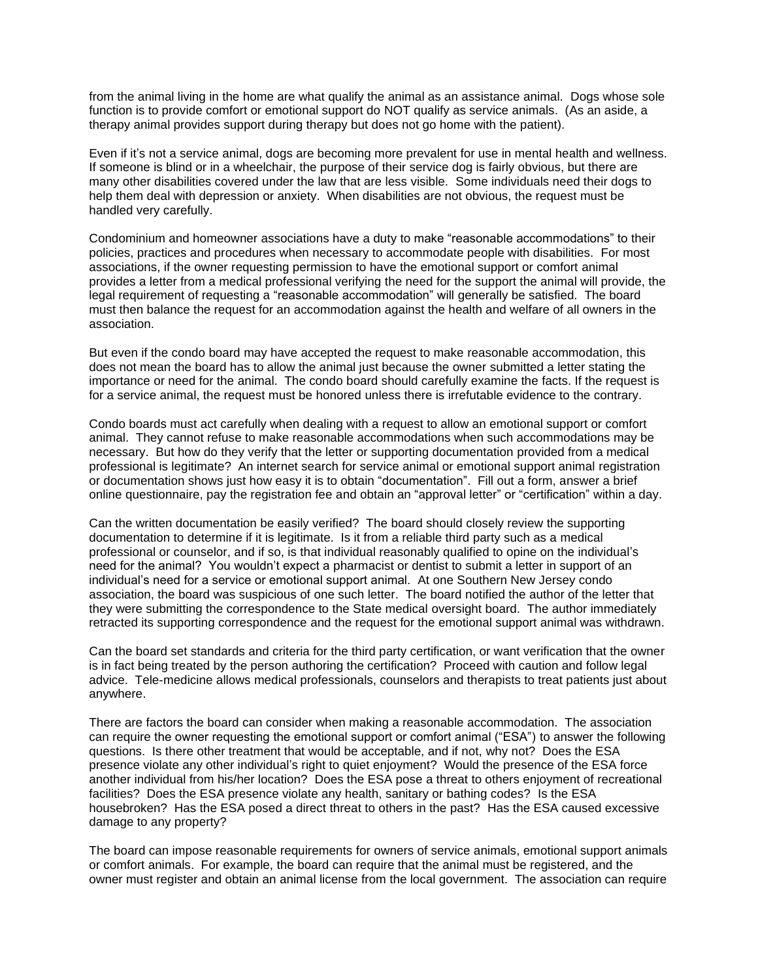from the animal living in the home are what qualify the animal as an assistance animal. Dogs whose sole function is to provide comfort or emotional support do NOT qualify as service animals. (As an aside, a therapy animal provides support during therapy but does not go home with the patient).

Even if it's not a service animal, dogs are becoming more prevalent for use in mental health and wellness. If someone is blind or in a wheelchair, the purpose of their service dog is fairly obvious, but there are many other disabilities covered under the law that are less visible. Some individuals need their dogs to help them deal with depression or anxiety. When disabilities are not obvious, the request must be handled very carefully.

Condominium and homeowner associations have a duty to make "reasonable accommodations" to their policies, practices and procedures when necessary to accommodate people with disabilities. For most associations, if the owner requesting permission to have the emotional support or comfort animal provides a letter from a medical professional verifying the need for the support the animal will provide, the legal requirement of requesting a "reasonable accommodation" will generally be satisfied. The board must then balance the request for an accommodation against the health and welfare of all owners in the association.

But even if the condo board may have accepted the request to make reasonable accommodation, this does not mean the board has to allow the animal just because the owner submitted a letter stating the importance or need for the animal. The condo board should carefully examine the facts. If the request is for a service animal, the request must be honored unless there is irrefutable evidence to the contrary.

Condo boards must act carefully when dealing with a request to allow an emotional support or comfort animal. They cannot refuse to make reasonable accommodations when such accommodations may be necessary. But how do they verify that the letter or supporting documentation provided from a medical professional is legitimate? An internet search for service animal or emotional support animal registration or documentation shows just how easy it is to obtain "documentation". Fill out a form, answer a brief online questionnaire, pay the registration fee and obtain an "approval letter" or "certification" within a day.

Can the written documentation be easily verified? The board should closely review the supporting documentation to determine if it is legitimate. Is it from a reliable third party such as a medical professional or counselor, and if so, is that individual reasonably qualified to opine on the individual's need for the animal? You wouldn't expect a pharmacist or dentist to submit a letter in support of an individual's need for a service or emotional support animal. At one Southern New Jersey condo association, the board was suspicious of one such letter. The board notified the author of the letter that they were submitting the correspondence to the State medical oversight board. The author immediately retracted its supporting correspondence and the request for the emotional support animal was withdrawn.

Can the board set standards and criteria for the third party certification, or want verification that the owner is in fact being treated by the person authoring the certification? Proceed with caution and follow legal advice. Tele-medicine allows medical professionals, counselors and therapists to treat patients just about anywhere.

There are factors the board can consider when making a reasonable accommodation. The association can require the owner requesting the emotional support or comfort animal ("ESA") to answer the following questions. Is there other treatment that would be acceptable, and if not, why not? Does the ESA presence violate any other individual's right to quiet enjoyment? Would the presence of the ESA force another individual from his/her location? Does the ESA pose a threat to others enjoyment of recreational facilities? Does the ESA presence violate any health, sanitary or bathing codes? Is the ESA housebroken? Has the ESA posed a direct threat to others in the past? Has the ESA caused excessive damage to any property?

The board can impose reasonable requirements for owners of service animals, emotional support animals or comfort animals. For example, the board can require that the animal must be registered, and the owner must register and obtain an animal license from the local government. The association can require